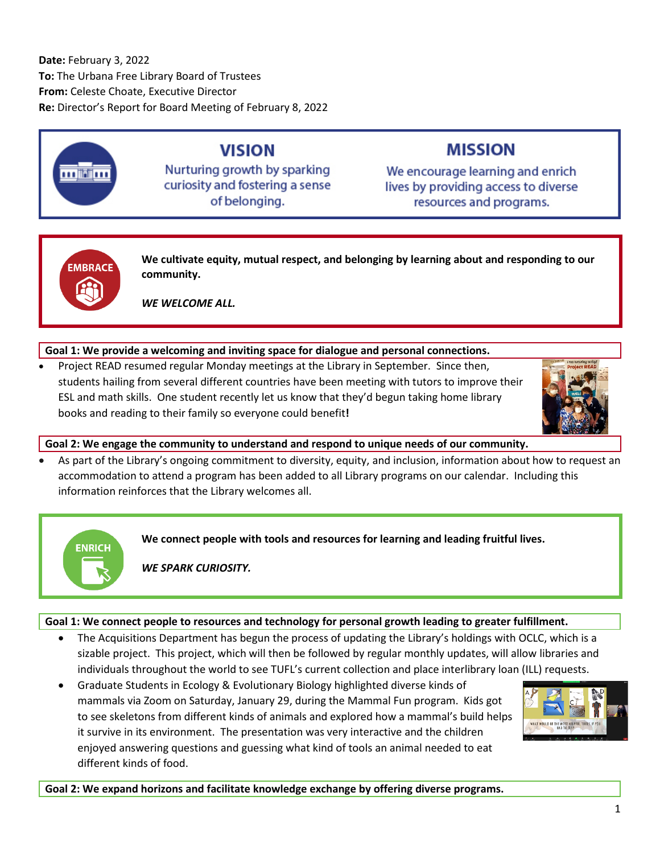**Date:** February 3, 2022 **To:** The Urbana Free Library Board of Trustees **From:** Celeste Choate, Executive Director **Re:** Director's Report for Board Meeting of February 8, 2022



# **VISION**

Nurturing growth by sparking curiosity and fostering a sense of belonging.

# **MISSION**

We encourage learning and enrich lives by providing access to diverse resources and programs.



**ENRICH** 

**We cultivate equity, mutual respect, and belonging by learning about and responding to our community.**

*WE WELCOME ALL.*

# **Goal 1: We provide a welcoming and inviting space for dialogue and personal connections.**

• Project READ resumed regular Monday meetings at the Library in September. Since then, students hailing from several different countries have been meeting with tutors to improve their ESL and math skills. One student recently let us know that they'd begun taking home library books and reading to their family so everyone could benefit**!**



**Goal 2: We engage the community to understand and respond to unique needs of our community.**

• As part of the Library's ongoing commitment to diversity, equity, and inclusion, information about how to request an accommodation to attend a program has been added to all Library programs on our calendar. Including this information reinforces that the Library welcomes all.

**We connect people with tools and resources for learning and leading fruitful lives.**

*WE SPARK CURIOSITY.*

## **Goal 1: We connect people to resources and technology for personal growth leading to greater fulfillment.**

- The Acquisitions Department has begun the process of updating the Library's holdings with OCLC, which is a sizable project. This project, which will then be followed by regular monthly updates, will allow libraries and individuals throughout the world to see TUFL's current collection and place interlibrary loan (ILL) requests.
- Graduate Students in Ecology & Evolutionary Biology highlighted diverse kinds of mammals via Zoom on Saturday, January 29, during the Mammal Fun program. Kids got to see skeletons from different kinds of animals and explored how a mammal's build helps it survive in its environment. The presentation was very interactive and the children enjoyed answering questions and guessing what kind of tools an animal needed to eat different kinds of food.



**Goal 2: We expand horizons and facilitate knowledge exchange by offering diverse programs.**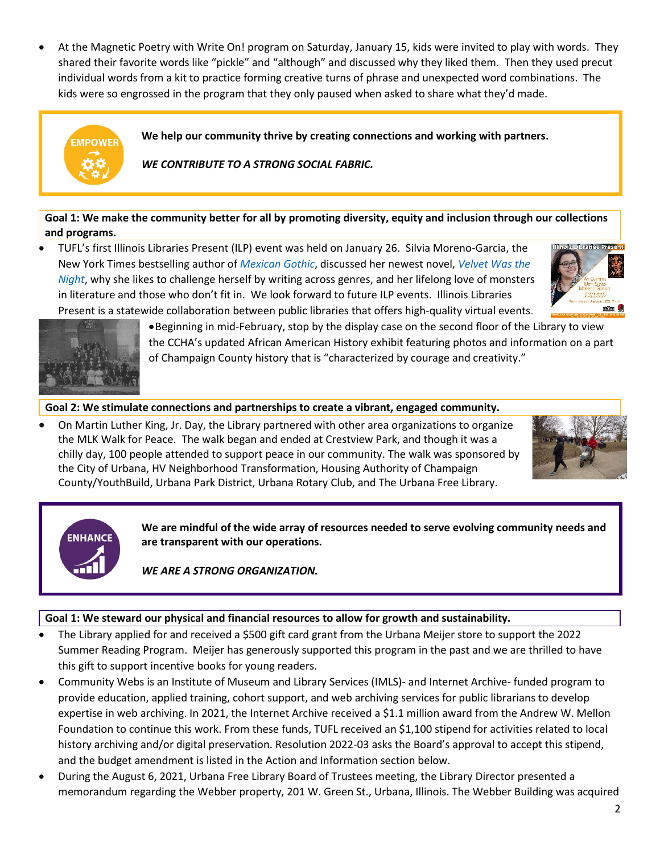• At the Magnetic Poetry with Write On! program on Saturday, January 15, kids were invited to play with words. They shared their favorite words like "pickle" and "although" and discussed why they liked them. Then they used precut individual words from a kit to practice forming creative turns of phrase and unexpected word combinations. The kids were so engrossed in the program that they only paused when asked to share what they'd made.



**Goal 1: We make the community better for all by promoting diversity, equity and inclusion through our collections and programs.**

• TUFL's first Illinois Libraries Present (ILP) event was held on January 26. Silvia Moreno-Garcia, the New York Times bestselling author of *[Mexican Gothic](https://cucatalog.org/polaris/search/searchresults.aspx?ctx=6.1033.0.0.1&type=Advanced&term=moreno-garcia,%20silvia&relation=ALL&by=AU&term2=mexican%20gothic&relation2=ALL&by2=TI&bool1=AND&bool4=AND&limit=TOM=*&sort=RELEVANCE&page=0&searchid=1)*, discussed her newest novel, *[Velvet Was the](https://cucatalog.org/polaris/search/searchresults.aspx?ctx=6.1033.0.0.1&type=Keyword&term=%22velvet%20was%20the%20night%22&by=KW&sort=RELEVANCE&limit=TOM=*&query=&page=0&searchid=2)  [Night](https://cucatalog.org/polaris/search/searchresults.aspx?ctx=6.1033.0.0.1&type=Keyword&term=%22velvet%20was%20the%20night%22&by=KW&sort=RELEVANCE&limit=TOM=*&query=&page=0&searchid=2)*, why she likes to challenge herself by writing across genres, and her lifelong love of monsters in literature and those who don't fit in. We look forward to future ILP events. Illinois Libraries Present is a statewide collaboration between public libraries that offers high-quality virtual events.





•Beginning in mid-February, stop by the display case on the second floor of the Library to view the CCHA's updated African American History exhibit featuring photos and information on a part of Champaign County history that is "characterized by courage and creativity."

## **Goal 2: We stimulate connections and partnerships to create a vibrant, engaged community.**

• On Martin Luther King, Jr. Day, the Library partnered with other area organizations to organize the MLK Walk for Peace. The walk began and ended at Crestview Park, and though it was a chilly day, 100 people attended to support peace in our community. The walk was sponsored by the City of Urbana, HV Neighborhood Transformation, Housing Authority of Champaign County/YouthBuild, Urbana Park District, Urbana Rotary Club, and The Urbana Free Library.





**We are mindful of the wide array of resources needed to serve evolving community needs and are transparent with our operations.**

*WE ARE A STRONG ORGANIZATION.*

## **Goal 1: We steward our physical and financial resources to allow for growth and sustainability.**

- The Library applied for and received a \$500 gift card grant from the Urbana Meijer store to support the 2022 Summer Reading Program. Meijer has generously supported this program in the past and we are thrilled to have this gift to support incentive books for young readers.
- Community Webs is an Institute of Museum and Library Services (IMLS)- and Internet Archive- funded program to provide education, applied training, cohort support, and web archiving services for public librarians to develop expertise in web archiving. In 2021, the Internet Archive received a \$1.1 million award from the Andrew W. Mellon Foundation to continue this work. From these funds, TUFL received an \$1,100 stipend for activities related to local history archiving and/or digital preservation. Resolution 2022-03 asks the Board's approval to accept this stipend, and the budget amendment is listed in the Action and Information section below.
- During the August 6, 2021, Urbana Free Library Board of Trustees meeting, the Library Director presented a memorandum regarding the Webber property, 201 W. Green St., Urbana, Illinois. The Webber Building was acquired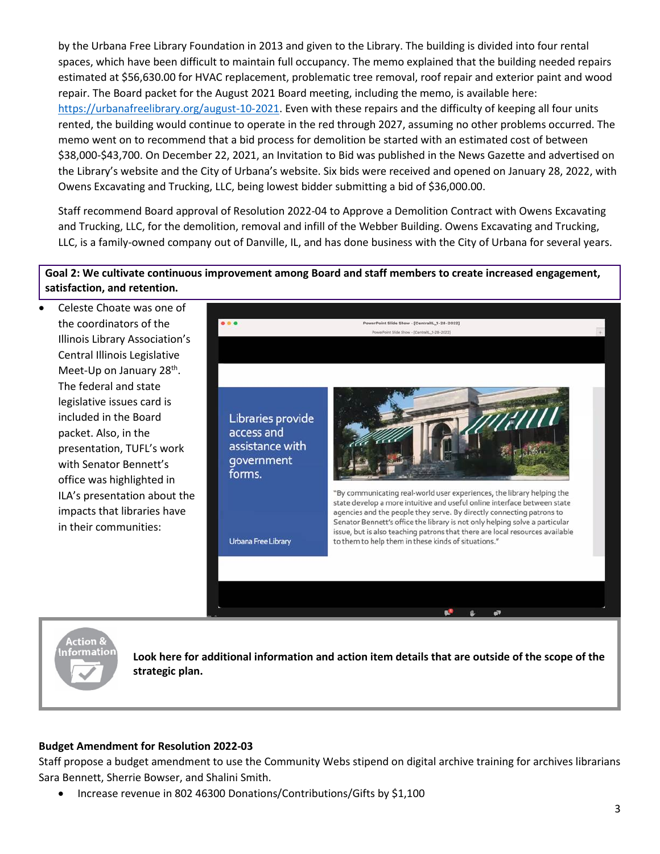by the Urbana Free Library Foundation in 2013 and given to the Library. The building is divided into four rental spaces, which have been difficult to maintain full occupancy. The memo explained that the building needed repairs estimated at \$56,630.00 for HVAC replacement, problematic tree removal, roof repair and exterior paint and wood repair. The Board packet for the August 2021 Board meeting, including the memo, is available here: [https://urbanafreelibrary.org/august-10-2021.](https://urbanafreelibrary.org/august-10-2021) Even with these repairs and the difficulty of keeping all four units rented, the building would continue to operate in the red through 2027, assuming no other problems occurred. The memo went on to recommend that a bid process for demolition be started with an estimated cost of between \$38,000-\$43,700. On December 22, 2021, an Invitation to Bid was published in the News Gazette and advertised on the Library's website and the City of Urbana's website. Six bids were received and opened on January 28, 2022, with Owens Excavating and Trucking, LLC, being lowest bidder submitting a bid of \$36,000.00.

Staff recommend Board approval of Resolution 2022-04 to Approve a Demolition Contract with Owens Excavating and Trucking, LLC, for the demolition, removal and infill of the Webber Building. Owens Excavating and Trucking, LLC, is a family-owned company out of Danville, IL, and has done business with the City of Urbana for several years.

## **Goal 2: We cultivate continuous improvement among Board and staff members to create increased engagement, satisfaction, and retention.**

• Celeste Choate was one of the coordinators of the Illinois Library Association's Central Illinois Legislative Meet-Up on January 28<sup>th</sup>. The federal and state legislative issues card is included in the Board packet. Also, in the presentation, TUFL's work with Senator Bennett's office was highlighted in ILA's presentation about the impacts that libraries have in their communities:





**Look here for additional information and action item details that are outside of the scope of the strategic plan.**

## **Budget Amendment for Resolution 2022-03**

Staff propose a budget amendment to use the Community Webs stipend on digital archive training for archives librarians Sara Bennett, Sherrie Bowser, and Shalini Smith.

• Increase revenue in 802 46300 Donations/Contributions/Gifts by \$1,100